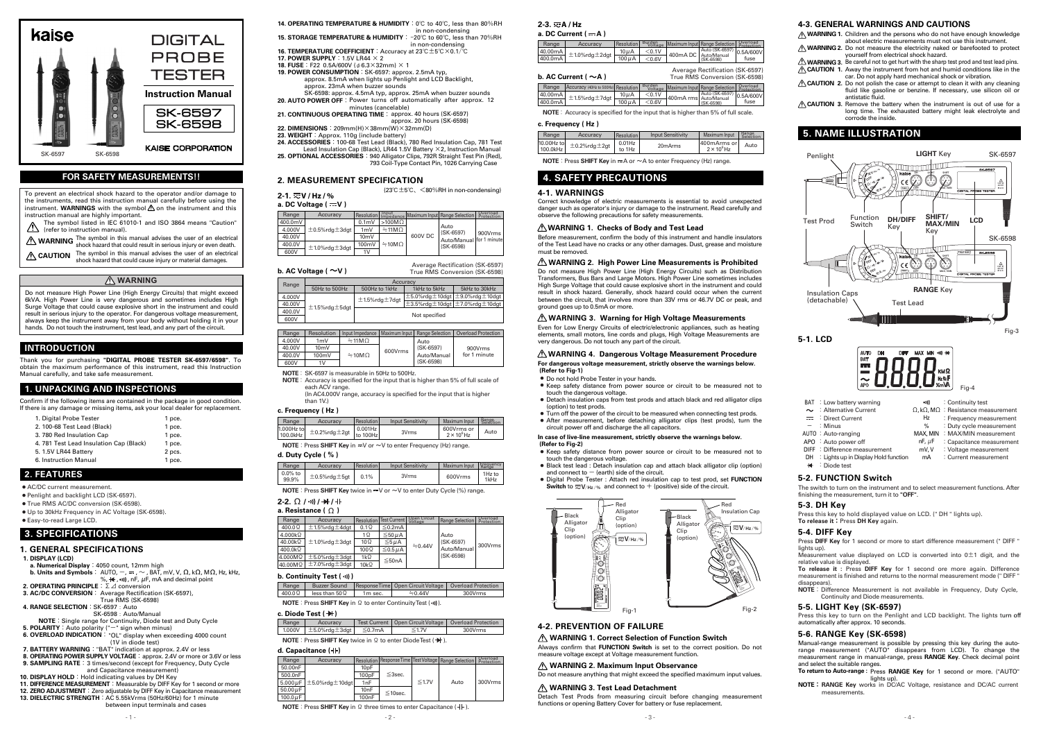# **4. SAFETY PRECAUTIONS**

# **5. NAME ILLUSTRATION**

**a. DC Current ( A ) 2-3. A / Hz**

 $±1.0\%$ rdg $±2$ dgt

 $0.5A/600V$ fuse

 $100\mu$ A  $10\mu A$   $\leq 0.1V$ 

40.00mA 400.0mA

| b. AC Current ( $\sim$ A ) |                                        |                    |                   | True RMS Conversion (SK-6598) |                                                         |           |
|----------------------------|----------------------------------------|--------------------|-------------------|-------------------------------|---------------------------------------------------------|-----------|
| Range                      | Accuracy (40Hz to 500Hz) Resolution    |                    | Burden<br>Voltage |                               | Maximum Input Range Selection Protection                |           |
| 40.00mA                    | $+$ ±1.5%rdg $\pm$ 7dgt $\overline{L}$ | 10 <sub>u</sub> A  | < 0.1V            |                               | Auto (SK-6597)<br>400mA rmsl Auto/Manual<br>$(SK-6598)$ | 0.5A/600V |
| 400.0mA                    |                                        | $100\,\mu\text{A}$ | < 0.6V            |                               |                                                         | tuse      |
|                            |                                        |                    |                   |                               |                                                         |           |

Range | Accuracy Resolution Burden Maximum Input Range Selection Protection

 $\frac{\leq 0.1 \text{V}}{\leq 0.6 \text{V}}$  400mA DC  $\left| \frac{\text{Auto (SK-6597)}}{\text{Auto/Manual}} \right|$ 

Average Rectification (SK-6597)

**NOTE**: Accuracy is specified for the input that is higher than 5% of full scale.

# **WARNING 1. Checks of Body and Test Lead**

#### **4-1. WARNINGS**

Correct knowledge of electric measurements is essential to avoid unexpected danger such as operator's injury or damage to the instrument. Read carefully and observe the following precautions for safety measurements.

Even for Low Energy Circuits of electric/electronic appliances, such as heating elements, small motors, line cords and plugs, High Voltage Measurements are very dangerous. Do not touch any part of the circuit.

**WARNING 1.** Children and the persons who do not have enough knowledge about electric measurements must not use this instrument.

**WARNING 2.** Do not measure the electricity naked or barefooted to protect

yourself from electrical shock hazard. Be careful not to get hurt with the sharp test prod and test lead pins. **WARNING 3. CAUTION 1.** Away the instrument from hot and humid conditions like in the

#### **WARNING 2. High Power Line Measurements is Prohibited**

car. Do not apply hard mechanical shock or vibration. **CAUTION 2.** Do not polish the case or attempt to clean it with any cleaning

#### **WARNING 3. Warning for High Voltage Measurements**

Before measurement, confirm the body of this instrument and handle insulators of the Test Lead have no cracks or any other damages. Dust, grease and moisture must be removed.

**CAUTION 3.** Remove the battery when the instrument is out of use for a long time. The exhausted battery might leak electrolyte and corrode the inside.

Do not measure High Power Line (High Energy Circuits) such as Distribution Transformers, Bus Bars and Large Motors. High Power Line sometimes includes High Surge Voltage that could cause explosive short in the instrument and could result in shock hazard. Generally, shock hazard could occur when the current between the circuit, that involves more than 33V rms or 46.7V DC or peak, and ground goes up to 0.5mA or more.



**WARNING 1. Correct Selection of Function Switch**

Press **DIFF Key** for 1 second or more to start difference measurement (" DIFF " lights up).

**WARNING 2. Maximum Input Observance**

Measurement value displayed on LCD is converted into  $0±1$  digit, and the relative value is displayed.

Do not measure anything that might exceed the specified maximum input values.

Always confirm that **FUNCTION Switch** is set to the correct position. Do not

**NOTE**: Difference Measurement is not available in Frequency, Duty Cycle, Continuity and Diode measurements.

measure voltage except at Voltage measurement function.

**WARNING 3. Test Lead Detachment**

lights up).<br>**NOTE**: RANGE Key works in DC/AC Voltage, resistance and DC/AC current measurements.

fluid like gasoline or benzine. If necessary, use silicon oil or antistatic fluid.

Detach Test Prods from measuring circuit before changing measurement

functions or opening Battery Cover for battery or fuse replacement.



Do not measure High Power Line (High Energy Circuits) that might exceed 6kVA. High Power Line is very dangerous and sometimes includes High Surge Voltage that could cause explosive short in the instrument and could result in serious injury to the operator. For dangerous voltage measurement, always keep the instrument away from your body without holding it in your hands. Do not touch the instrument, test lead, and any part of the circuit.

> The switch to turn on the instrument and to select measurement functions. After finishing the measurement, turn it to **"OFF"**.

Press this key to hold displayed value on LCD. (" DH " lights up). **To release it**:Press **DH Key** again.

The symbol listed in IEC 61010-1 and ISO 3864 means "Caution"  $\triangle$  (refer to instruction manual).

**WARNING** The symbol in this manual advises the user of an electrical velock hazard that could result in serious injury or even death.

**CAUTION** The symbol in this manual advises the user of an electrical shock hazard that could cause injury or material damages.

**To release it :** Press **DIFF Key** for 1 second ore more again. Difference measurement is finished and returns to the normal measurement mode (" DIFF " disappears).

Press this key to turn on the Penlight and LCD backlight. The lights turn off automatically after approx. 10 seconds.

Manual-range measurement is possible by pressing this key during the autorange measurement ("AUTO" disappears from LCD). To change the measurement range in manual-range, press **RANGE Key**. Check decimal point and select the suitable ranges.

#### **c. Frequency ( Hz )**

| Range                  | Accuracy             | Resolution          | <b>Input Sensitivity</b> | <b>Maximum Input</b>                | Range<br>Selection |
|------------------------|----------------------|---------------------|--------------------------|-------------------------------------|--------------------|
| 10.00Hz to<br>100.0kHz | $±0.2\%$ rdg $±2$ gt | $0.01$ Hz<br>to 1Hz | 20 <sub>m</sub> Arms     | 1400mArms orl<br>$2 \times 10^6$ Hz | Auto               |

**NOTE**: Press **SHIFT** Key in  $\equiv$  A or  $\sim$  A to enter Frequency (Hz) range

# **INTRODUCTION**

Thank you for purchasing **"DIGITAL PROBE TESTER SK-6597/6598"**. To obtain the maximum performance of this instrument, read this Instruction Manual carefully, and take safe measurement.

# **1. UNPACKING AND INSPECTIONS**

#### **d. Capacitance ( ) NOTE**: Press **SHIFT Key** twice in Ω to enter DiodeTest (→ ).

Confirm if the following items are contained in the package in good condition. If there is any damage or missing items, ask your local dealer for replacement.

- Keep safety distance from power source or circuit to be measured not to touch the dangerous voltage.
- Black test lead : Detach insulation cap and attach black alligator clip (option) and connect to  $-$  (earth) side of the circuit.
- Digital Probe Tester : Attach red insulation cap to test prod, set **FUNCTION Switch** to  $\overline{w}$  **V**/ $Hz$ /% and connect to  $+$  (positive) side of the circuit.

| 1. Digital Probe Tester                | 1 pce. |
|----------------------------------------|--------|
| 2. 100-68 Test Lead (Black)            | 1 pce. |
| 3.780 Red Insulation Cap               | 1 pce. |
| 4.781 Test Lead Insulation Cap (Black) | 1 pce. |
| 5. 1.5V LR44 Battery                   | 2 pcs. |
| 6. Instruction Manual                  | 1 pce. |

- Do not hold Probe Tester in your hands.
- Keep safety distance from power source or circuit to be measured not to touch the dangerous voltage.
- Detach insulation caps from test prods and attach black and red alligator clips (option) to test prods.
- Turn off the power of the circuit to be measured when connecting test prods. ● After measurement, before detaching alligator clips (test prods), turn the circuit power off and discharge the all capacitors.

# **2. FEATURES**

AC/DC current measurement. ●

Penlight and backlight LCD (SK-6597). ●

● True RMS AC/DC conversion (SK-6598).

Up to 30kHz Frequency in AC Voltage (SK-6598). ●

Easy-to-read Large LCD. ●

# **3. SPECIFICATIONS**

# **1. GENERAL SPECIFICATIONS**

**1. DISPLAY (LCD)**

#### $+$ : Diode test **5-2. FUNCTION Switch**

| a. Numerical Display: 4050 count, 12mm high                                                                        |
|--------------------------------------------------------------------------------------------------------------------|
| <b>b. Units and Symbols</b> : AUTO, $-$ , $=$ , $\sim$ , BAT, mV, V, $\Omega$ , k $\Omega$ , M $\Omega$ , Hz, kHz, |
| %, $\leftrightarrow$ , $\bullet$ )), nF, $\mu$ F, mA and decimal point                                             |
| <b>2. OPERATING PRINCIPLE</b> : $\Sigma \angle$ conversion                                                         |

To prevent an electrical shock hazard to the operator and/or damage to the instruments, read this instruction manual carefully before using the instrument. WARNINGS with the symbol  $\triangle$  on the instrument and this instruction manual are highly important.

# **WARNING**

# **FOR SAFETY MEASUREMENTS!!**

**16. TEMPERATURE COEFFICIENT**:Accuracy at 23℃±5℃×0.1/℃

**14. OPERATING TEMPERATURE & HUMIDITY**: 0℃ to 40℃, less than 80%RH in non-condensing

**15. STORAGE TEMPERATURE & HUMIDITY**: -20℃ to 60℃, less than 70%RH in non-condensing

- **17. POWER SUPPLY**:1.5V LR44 × 2
- **18. FUSE**:F22 0.5A/600V (φ6.3×32mm) × 1
- **19. POWER CONSUMPTION**: SK-6597: approx. 2.5mA typ, approx. 8.5mA when lights up Penlight and LCD Backlight, approx. 23mA when buzzer sounds SK-6598: approx. 4.5mA typ, approx. 25mA when buzzer sounds

**20. AUTO POWER OFF**: Power turns off automatically after approx. 12 minutes (cancelable)

**To return to Auto-range :** Press **RANGE Key** for 1 second or more. ("AUTO"

# **2. MEASUREMENT SPECIFICATION**

(23℃±5℃、<80%RH in non-condensing)

#### **a. DC Voltage ( V ) 2-1. V / Hz / %**

| Range   | Accuracy              |          | Resolution Input    |         | Maximum Inputl Range Selection I                | <b>Overload</b><br>Protection |
|---------|-----------------------|----------|---------------------|---------|-------------------------------------------------|-------------------------------|
| 400.0mV |                       | $0.1m$ V | $>100M\Omega$       | 600V DC | Auto<br>$(SK-6597)$<br>Auto/Manual for 1 minute | 900Vrms                       |
| 4.000V  | $±0.5\%$ rdg $±3$ dgt | 1mV      | $\div$ 11M $\Omega$ |         |                                                 |                               |
| 40.00V  |                       | 10mV     |                     |         |                                                 |                               |
| 400.0V  | $±1.0\%$ rdg $±3$ dgt | 100mV    | $\div$ 10M $\Omega$ |         | (SK-6598)                                       |                               |
| 600V    |                       | 1V       |                     |         |                                                 |                               |

# **b. AC Voltage ( ~V )**

| Range  | Resolution | Input Impedance   Maximum Input |         | <b>Range Selection</b> | <b>Overload Protection</b> |
|--------|------------|---------------------------------|---------|------------------------|----------------------------|
| 4.000V | 1mV        | $\div$ 11M $\Omega$             |         | Auto                   |                            |
| 40.00V | 10mV       |                                 | 600Vrms | (SK-6597)              | 900Vrms                    |
| 400.0V | 100mV      | $\div$ 10M $\Omega$             |         | Auto/Manual            | for 1 minute               |
| 600V   | 1V         |                                 |         | $(SK-6598)$            |                            |

**NOTE**: SK-6597 is measurable in 50Hz to 500Hz.

- **NOTE**: Accuracy is specified for the input that is higher than 5% of full scale of
	- each ACV range. (In AC4.000V range, accuracy is specified for the input that is higher than 1V)

| Range  | Accuracy              |                       |                                                     |               |  |  |
|--------|-----------------------|-----------------------|-----------------------------------------------------|---------------|--|--|
|        | 50Hz to 500Hz         | 500Hz to 1kHz         | 1kHz to 5kHz                                        | 5kHz to 30kHz |  |  |
| 4.000V |                       | $±1.5\%$ rdg $±7$ dgt | $\pm$ 5.0%rdg $\pm$ 10dgt $\pm$ 9.0%rdg $\pm$ 10dgt |               |  |  |
| 40.00V | $±1.5\%$ rdg $±5$ dgt |                       | $\pm$ 3.5%rdg $\pm$ 10dgt $\pm$ 7.0%rdg $\pm$ 10dgt |               |  |  |
| 400.0V |                       | Not specified         |                                                     |               |  |  |
| 600V   |                       |                       |                                                     |               |  |  |

Average Rectification (SK-6597) True RMS Conversion (SK-6598)

- **3. AC/DC CONVERSION**: Average Rectification (SK-6597),
- True RMS (SK-6598)
- **4. RANGE SELECTION**: SK-6597:Auto SK-6598 · Auto/Manual
- **NOTE**:Single range for Continuity, Diode test and Duty Cycle
- **5. POLARITY**: Auto polarity ("-" sign when minus) **6. OVERLOAD INDICATION**: "OL" display when exceeding 4000 count
- **7. BATTERY WARNING**:"BAT" indication at approx. 2.4V or less (1V in diode test)
- **8. OPERATING POWER SUPPLY VOLTAGE**:approx. 2.4V or more or 3.6V or less
- **9. SAMPLING RATE**: 3 times/second (except for Frequency, Duty Cycle **10. DISPLAY HOLD**:Hold indicating values by DH Key and Capacitance measurement)
- 
- **11. DIFFERENCE MEASUREMENT**: Measurable by DIFF Key for 1 second or more 12. ZERO ADJUSTMENT : Zero adjustable by DIFF Key in Capacitance measurement **13. DIELECTRIC STRENGTH**: AC 5.55kVrms (50Hz/60Hz) for 1 minute between input terminals and cases

#### **c. Frequency ( Hz )**

| Range                    | Accuracy                | Resolution             | <b>Input Sensitivity</b> | Maximum Input                    | <b>Range</b><br>Selection |
|--------------------------|-------------------------|------------------------|--------------------------|----------------------------------|---------------------------|
| $1000Hz$ tol<br>100.0kHz | $\pm$ 0.2%rdg $\pm$ 2gt | $0.001$ Hz<br>to 100Hz | 3Vrms                    | 600Vrms or<br>$2 \times 10^6$ Hz | Auto                      |

**NOTE**: Press **SHIFT** Key in  $\equiv$  V or  $\sim$  V to enter Frequency (Hz) range.

# **d. Duty Cycle ( % )**

| Range            | Accuracy                | Resolution | <b>Input Sensitivity</b> | Maximum Input | Frequency      |
|------------------|-------------------------|------------|--------------------------|---------------|----------------|
| 0.0% to<br>99.9% | $\pm$ 0.5%rdg $\pm$ 5gt | 0.1%       | 3Vrms                    | 600Vrms       | 1Hz to<br>1kHz |

**NOTE**: Press **SHIFT Key** twice in  $\equiv$  V or  $\sim$  V to enter Duty Cycle (%) range.

|                | a. Resistance ( $\Omega$ |               |                  |                         |                                  |                        |
|----------------|--------------------------|---------------|------------------|-------------------------|----------------------------------|------------------------|
| Range          | Accuracy                 | Resolution    | Test Current     | Open Circuit<br>Voltage | Range Selection                  | Overload<br>Protection |
| $400.0\Omega$  | $±1.5\%$ rdg $±4$ dgt    | $0.1\Omega$   | $≤$ 0.2mA        |                         |                                  |                        |
| $4.000k\Omega$ |                          | 1Ω            | $\leq 50 \mu A$  | $\div 0.44V$            | Auto<br>(SK-6597)<br>Auto/Manual | 300Vrms                |
| 40.00kΩ        | $±1.0\%$ rdg $±3$ dgt    | $10 \Omega$   | $\leq 5 \mu A$   |                         |                                  |                        |
| 400.0kΩ        |                          | $100\,\Omega$ | $\leq 0.5 \mu A$ |                         |                                  |                        |
| 4.000MΩ        | $±5.0\%$ rdg $±3$ dgt    | 1 $k\Omega$   | $≤$ 50nA         |                         | (SK-6598)                        |                        |
| 40.00MΩ        | $±7.0\%$ rdg $±3$ dgt    | $10k\Omega$   |                  |                         |                                  |                        |
|                |                          |               |                  |                         |                                  |                        |

# **2-2. / / /** Ω

#### **b. Continuity Test ( )**

| Range                                                                                                                                                                                                                                                                                                                                                                                                                                            |                       |                     | Buzzer Sound   Response Time   Open Circuit Voltage   Overload Protection |         |  |  |
|--------------------------------------------------------------------------------------------------------------------------------------------------------------------------------------------------------------------------------------------------------------------------------------------------------------------------------------------------------------------------------------------------------------------------------------------------|-----------------------|---------------------|---------------------------------------------------------------------------|---------|--|--|
| $400.0\Omega$                                                                                                                                                                                                                                                                                                                                                                                                                                    | less than 50 $\Omega$ | 1 <sub>m</sub> sec. | $\approx 0.44V$                                                           | 300Vrms |  |  |
| $\mathbf{M} \mathbf{O} \mathbf{T} \mathbf{F} + \mathbf{D} \qquad \mathbf{O} \mathbf{H} \mathbf{I} \mathbf{F} \mathbf{F} \mathbf{M} \qquad \mathbf{O} \qquad \mathbf{I} \qquad \mathbf{O} \qquad \mathbf{I} \qquad \mathbf{I} \qquad \mathbf{I} \qquad \mathbf{I} \mathbf{M} \mathbf{M} \mathbf{I} \qquad \mathbf{I} \qquad \mathbf{I} \qquad \mathbf{I} \qquad \mathbf{I} \qquad \mathbf{I} \qquad \mathbf{I} \qquad \mathbf{I} \qquad \mathbf{$ |                       |                     |                                                                           |         |  |  |

**NOTE**: Press **SHIFT Key** in Ω to enter ContinuityTest ( •))).

# **c. Diode Test ( )**

| Range | Accuracy                                     | Test Current   Open Circuit Voltage   Overload Protection |         |
|-------|----------------------------------------------|-----------------------------------------------------------|---------|
|       | 1.000V $\pm$ 5.0%rdg $\pm$ 3dgt $\leq$ 0.7mA | $\leq 1.7V$                                               | 300Vrms |
|       |                                              |                                                           |         |

- **21. CONTINUOUS OPERATING TIME**: approx. 40 hours (SK-6597) approx. 20 hours (SK-6598)
- **22. DIMENSIONS**:209mm(H)×38mm(W)×32mm(D)
- 23. WEIGHT : Approx. 110g (include battery)
- **24. ACCESSORIES**: 100-68 Test Lead (Black), 780 Red Insulation Cap, 781 Test Lead Insulation Cap (Black), LR44 1.5V Battery ×2, Instruction Manual
- **25. OPTIONAL ACCESSORIES**: 940 Alligator Clips, 792R Straight Test Pin (Red), 793 Coil-Type Contact Pin, 1026 Carrying Case

| a. Capacitance (HF) |                                             |                    |               |             |                                                       |                        |
|---------------------|---------------------------------------------|--------------------|---------------|-------------|-------------------------------------------------------|------------------------|
| Range               | Accuracy                                    |                    |               |             | Resolution Response Time Test Voltage Range Selection | Overload<br>Protection |
| 50.00nF             |                                             | 10 <sub>p</sub> F  |               |             |                                                       |                        |
| 500.0nF             |                                             | 100 <sub>p</sub> F | $\leq$ 3sec.  |             |                                                       |                        |
|                     | $5.000 \,\mu$ F   $\pm$ 5.0%rdg $\pm$ 10dgt | 1nF                |               | $\leq 1.7V$ | Auto                                                  | 300Vrms                |
| 50.00 $\mu$ F       |                                             | 10 <sub>n</sub> F  | $\leq$ 10sec. |             |                                                       |                        |
| $100.0 \mu F$       |                                             | 100 <sub>n</sub> F |               |             |                                                       |                        |

# $-2 -3 -$ **NOTE**: Press **SHIFT** Key in Ω three times to enter Capacitance (-I).



# **WARNING 4. Dangerous Voltage Measurement Procedure**

## **For dangerous voltage measurement, strictly observe the warnings below.**

## **(Refer to Fig-1)**

# **In case of live-line measurement, strictly observe the warnings below.**

# **(Refer to Fig-2)**

# **4-3. GENERAL WARNINGS AND CAUTIONS**

# **5-3. DH Key**

# **5-4. DIFF Key**

# **5-5. LIGHT Key (SK-6597)**

# **5-6. RANGE Key (SK-6598)**